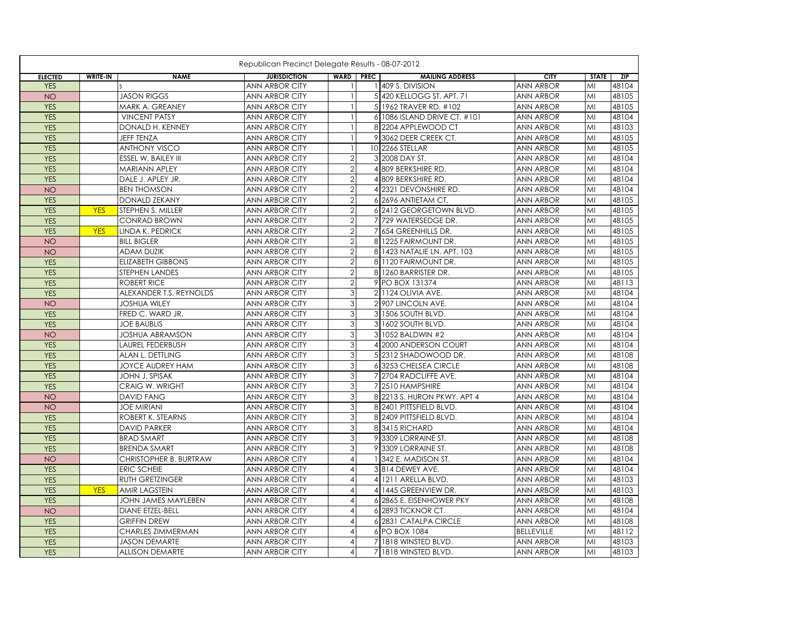|                |                 |                          | Republican Precinct Delegate Results - 08-07-2012 |                  |                |                              |                   |              |       |
|----------------|-----------------|--------------------------|---------------------------------------------------|------------------|----------------|------------------------------|-------------------|--------------|-------|
| <b>ELECTED</b> | <b>WRITE-IN</b> | <b>NAME</b>              | <b>JURISDICTION</b>                               | <b>WARD PREC</b> |                | <b>MAILING ADDRESS</b>       | <b>CITY</b>       | <b>STATE</b> | ZIP   |
| <b>YES</b>     |                 |                          | ANN ARBOR CITY                                    |                  |                | 1409 S. DIVISION             | ANN ARBOR         | MI           | 48104 |
| <b>NO</b>      |                 | <b>JASON RIGGS</b>       | <b>ANN ARBOR CITY</b>                             |                  |                | 5 420 KELLOGG ST. APT. 71    | <b>ANN ARBOR</b>  | MI           | 48105 |
| <b>YES</b>     |                 | MARK A. GREANEY          | ANN ARBOR CITY                                    |                  |                | 5 1962 TRAVER RD. #102       | <b>ANN ARBOR</b>  | MI           | 48105 |
| <b>YES</b>     |                 | <b>VINCENT PATSY</b>     | <b>ANN ARBOR CITY</b>                             |                  |                | 6 1086 ISLAND DRIVE CT. #101 | <b>ANN ARBOR</b>  | MI           | 48104 |
| <b>YES</b>     |                 | DONALD H. KENNEY         | ANN ARBOR CITY                                    |                  |                | 8 2204 APPLEWOOD CT          | <b>ANN ARBOR</b>  | MI           | 48103 |
| <b>YES</b>     |                 | JEFF TENZA               | ANN ARBOR CITY                                    |                  |                | 9 3062 DEER CREEK CT.        | ANN ARBOR         | MI           | 48105 |
| <b>YES</b>     |                 | <b>ANTHONY VISCO</b>     | <b>ANN ARBOR CITY</b>                             |                  |                | 10 2266 STELLAR              | ANN ARBOR         | MI           | 48105 |
| <b>YES</b>     |                 | ESSEL W. BAILEY III      | ANN ARBOR CITY                                    | $\overline{2}$   |                | 3 2008 DAY ST.               | ANN ARBOR         | MI           | 48104 |
| <b>YES</b>     |                 | <b>MARIANN APLEY</b>     | <b>ANN ARBOR CITY</b>                             | $\overline{2}$   |                | 4 809 BERKSHIRE RD.          | <b>ANN ARBOR</b>  | MI           | 48104 |
| <b>YES</b>     |                 | DALE J. APLEY JR.        | ANN ARBOR CITY                                    | $\overline{2}$   |                | 4 809 BERKSHIRE RD.          | <b>ANN ARBOR</b>  | MI           | 48104 |
| <b>NO</b>      |                 | <b>BEN THOMSON</b>       | <b>ANN ARBOR CITY</b>                             | $\overline{2}$   |                | 4 2321 DEVONSHIRE RD.        | <b>ANN ARBOR</b>  | MI           | 48104 |
| <b>YES</b>     |                 | <b>DONALD ZEKANY</b>     | <b>ANN ARBOR CITY</b>                             | $\overline{2}$   |                | 6 2696 ANTIETAM CT.          | <b>ANN ARBOR</b>  | MI           | 48105 |
| <b>YES</b>     | <b>YES</b>      | STEPHEN S. MILLER        | ANN ARBOR CITY                                    | $\mathbf{2}$     |                | 6 2412 GEORGETOWN BLVD.      | <b>ANN ARBOR</b>  | MI           | 48105 |
| <b>YES</b>     |                 | <b>CONRAD BROWN</b>      | <b>ANN ARBOR CITY</b>                             | $\overline{2}$   |                | 7 729 WATERSEDGE DR.         | <b>ANN ARBOR</b>  | MI           | 48105 |
| <b>YES</b>     | <b>YES</b>      | LINDA K. PEDRICK         | <b>ANN ARBOR CITY</b>                             | $\sqrt{2}$       | 7              | 654 GREENHILLS DR.           | <b>ANN ARBOR</b>  | MI           | 48105 |
| <b>NO</b>      |                 | <b>BILL BIGLER</b>       | <b>ANN ARBOR CITY</b>                             |                  | 8              | 1225 FAIRMOUNT DR.           | <b>ANN ARBOR</b>  | MI           | 48105 |
| <b>NO</b>      |                 | <b>ADAM DUZIK</b>        | <b>ANN ARBOR CITY</b>                             | $\overline{2}$   |                | 8 1423 NATALIE LN, APT, 103  | <b>ANN ARBOR</b>  | MI           | 48105 |
| <b>YES</b>     |                 | <b>ELIZABETH GIBBONS</b> | ANN ARBOR CITY                                    | $\overline{2}$   |                | 8 1120 FAIRMOUNT DR.         | <b>ANN ARBOR</b>  | MI           | 48105 |
| <b>YES</b>     |                 | STEPHEN LANDES           | <b>ANN ARBOR CITY</b>                             | $\sqrt{2}$       |                | 8 1260 BARRISTER DR.         | <b>ANN ARBOR</b>  | MI           | 48105 |
| <b>YES</b>     |                 | <b>ROBERT RICE</b>       | ANN ARBOR CITY                                    | $\overline{2}$   |                | 9 PO BOX 131374              | <b>ANN ARBOR</b>  | MI           | 48113 |
| <b>YES</b>     |                 | ALEXANDER T.S. REYNOLDS  | <b>ANN ARBOR CITY</b>                             | 3                |                | 2 1124 OLIVIA AVE.           | <b>ANN ARBOR</b>  | MI           | 48104 |
| <b>NO</b>      |                 | <b>JOSHUA WILEY</b>      | ANN ARBOR CITY                                    | $\mathbf{3}$     |                | 2 907 LINCOLN AVE.           | <b>ANN ARBOR</b>  | MI           | 48104 |
| <b>YES</b>     |                 | FRED C. WARD JR.         | ANN ARBOR CITY                                    | 3                | 3              | 1506 SOUTH BLVD.             | ANN ARBOR         | MI           | 48104 |
| <b>YES</b>     |                 | <b>JOE BAUBLIS</b>       | ANN ARBOR CITY                                    | $\mathfrak{S}$   |                | 3 1602 SOUTH BLVD.           | ANN ARBOR         | MI           | 48104 |
| <b>NO</b>      |                 | <b>JOSHUA ABRAMSON</b>   | ANN ARBOR CITY                                    | 3                |                | 3 1052 BALDWIN #2            | <b>ANN ARBOR</b>  | MI           | 48104 |
| <b>YES</b>     |                 | LAUREL FEDERBUSH         | <b>ANN ARBOR CITY</b>                             | 3                |                | 4 2000 ANDERSON COURT        | <b>ANN ARBOR</b>  | MI           | 48104 |
| <b>YES</b>     |                 | ALAN L. DETTLING         | <b>ANN ARBOR CITY</b>                             | 3                |                | 5 2312 SHADOWOOD DR.         | <b>ANN ARBOR</b>  | MI           | 48108 |
| <b>YES</b>     |                 | <b>JOYCE AUDREY HAM</b>  | <b>ANN ARBOR CITY</b>                             | 3                |                | 6 3253 CHELSEA CIRCLE        | <b>ANN ARBOR</b>  | MI           | 48108 |
| <b>YES</b>     |                 | JOHN J. SPISAK           | <b>ANN ARBOR CITY</b>                             | 3                |                | 7 2704 RADCLIFFE AVE.        | <b>ANN ARBOR</b>  | MI           | 48104 |
| <b>YES</b>     |                 | CRAIG W. WRIGHT          | ANN ARBOR CITY                                    | 3                |                | 7 2510 HAMPSHIRE             | <b>ANN ARBOR</b>  | MI           | 48104 |
| <b>NO</b>      |                 | <b>DAVID FANG</b>        | ANN ARBOR CITY                                    | 3                |                | 8 2213 S. HURON PKWY, APT 4  | <b>ANN ARBOR</b>  | MI           | 48104 |
| <b>NO</b>      |                 | <b>JOE MIRIANI</b>       | ANN ARBOR CITY                                    | $\mathbf{3}$     |                | 8 2401 PITTSFIELD BLVD.      | <b>ANN ARBOR</b>  | MI           | 48104 |
| <b>YES</b>     |                 | ROBERT K. STEARNS        | <b>ANN ARBOR CITY</b>                             | $\mathfrak{S}$   |                | 8 2409 PITTSFIELD BLVD.      | <b>ANN ARBOR</b>  | MI           | 48104 |
| <b>YES</b>     |                 | <b>DAVID PARKER</b>      | <b>ANN ARBOR CITY</b>                             | 3                |                | 83415 RICHARD                | <b>ANN ARBOR</b>  | MI           | 48104 |
| <b>YES</b>     |                 | <b>BRAD SMART</b>        | ANN ARBOR CITY                                    | 3                |                | 9 3309 LORRAINE ST.          | ANN ARBOR         | MI           | 48108 |
| <b>YES</b>     |                 | <b>BRENDA SMART</b>      | ANN ARBOR CITY                                    | 3                |                | 9 3309 LORRAINE ST.          | <b>ANN ARBOR</b>  | MI           | 48108 |
| <b>NO</b>      |                 | CHRISTOPHER B. BURTRAW   | ANN ARBOR CITY                                    | $\overline{4}$   |                | 1 342 E. MADISON ST.         | <b>ANN ARBOR</b>  | MI           | 48104 |
| <b>YES</b>     |                 | <b>ERIC SCHEIE</b>       | <b>ANN ARBOR CITY</b>                             | $\overline{4}$   |                | 3 814 DEWEY AVE.             | <b>ANN ARBOR</b>  | MI           | 48104 |
| <b>YES</b>     |                 | RUTH GRETZINGER          | <b>ANN ARBOR CITY</b>                             | $\overline{4}$   |                | 4 1211 ARELLA BLVD.          | <b>ANN ARBOR</b>  | MI           | 48103 |
| <b>YES</b>     | <b>YES</b>      | <b>AMIR LAGSTEIN</b>     | <b>ANN ARBOR CITY</b>                             | $\overline{4}$   | $\overline{4}$ | 1445 GREENVIEW DR.           | <b>ANN ARBOR</b>  | MI           | 48103 |
| <b>YES</b>     |                 | JOHN JAMES MAYLEBEN      | <b>ANN ARBOR CITY</b>                             | $\overline{4}$   |                | 6 2865 E. EISENHOWER PKY     | <b>ANN ARBOR</b>  | MI           | 48108 |
| <b>NO</b>      |                 | DIANE ETZEL-BELL         | ANN ARBOR CITY                                    | $\overline{A}$   |                | 6 2893 TICKNOR CT.           | ANN ARBOR         | MI           | 48104 |
| <b>YES</b>     |                 | <b>GRIFFIN DREW</b>      | ANN ARBOR CITY                                    | $\overline{4}$   |                | 6 2831 CATALPA CIRCLE        | ANN ARBOR         | MI           | 48108 |
| <b>YES</b>     |                 | CHARLES ZIMMERMAN        | ANN ARBOR CITY                                    | $\overline{4}$   |                | 6 PO BOX 1084                | <b>BELLEVILLE</b> | MI           | 48112 |
| <b>YES</b>     |                 | <b>JASON DEMARTE</b>     | <b>ANN ARBOR CITY</b>                             | $\overline{4}$   |                | 7 1818 WINSTED BLVD.         | <b>ANN ARBOR</b>  | MI           | 48103 |
| <b>YES</b>     |                 | <b>ALLISON DEMARTE</b>   | <b>ANN ARBOR CITY</b>                             | $\overline{4}$   |                | 7 1818 WINSTED BLVD.         | <b>ANN ARBOR</b>  | MI           | 48103 |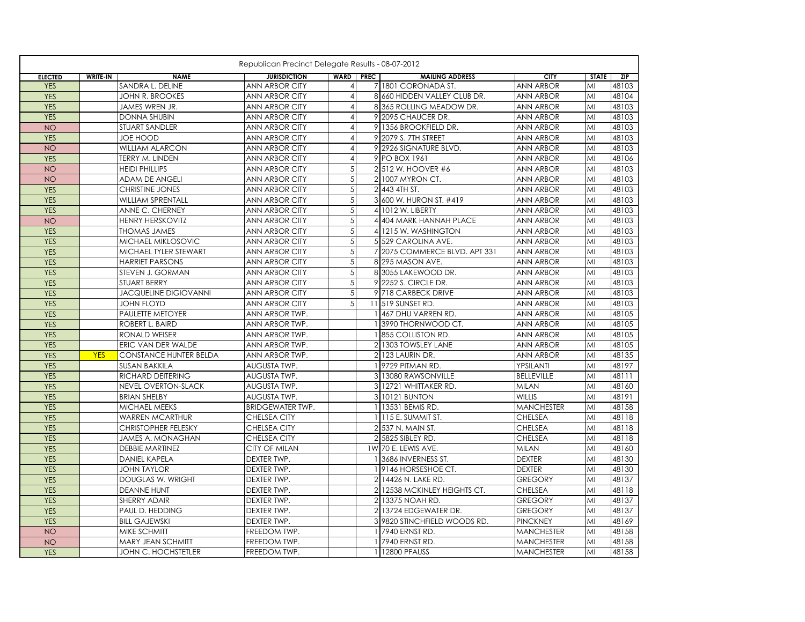|                |                 |                               | Republican Precinct Delegate Results - 08-07-2012 |                  |                               |                   |              |       |
|----------------|-----------------|-------------------------------|---------------------------------------------------|------------------|-------------------------------|-------------------|--------------|-------|
| <b>ELECTED</b> | <b>WRITE-IN</b> | <b>NAME</b>                   | <b>JURISDICTION</b>                               | <b>WARD PREC</b> | <b>MAILING ADDRESS</b>        | <b>CITY</b>       | <b>STATE</b> | ZIP   |
| <b>YES</b>     |                 | SANDRA L. DELINE              | <b>ANN ARBOR CITY</b>                             | $\overline{4}$   | 7 1801 CORONADA ST.           | <b>ANN ARBOR</b>  | MI           | 48103 |
| <b>YES</b>     |                 | <b>JOHN R. BROOKES</b>        | <b>ANN ARBOR CITY</b>                             | $\overline{4}$   | 8 660 HIDDEN VALLEY CLUB DR.  | <b>ANN ARBOR</b>  | MI           | 48104 |
| <b>YES</b>     |                 | JAMES WREN JR.                | <b>ANN ARBOR CITY</b>                             | $\overline{4}$   | 8 365 ROLLING MEADOW DR.      | <b>ANN ARBOR</b>  | MI           | 48103 |
| <b>YES</b>     |                 | <b>DONNA SHUBIN</b>           | <b>ANN ARBOR CITY</b>                             | $\overline{4}$   | 9 2095 CHAUCER DR.            | <b>ANN ARBOR</b>  | MI           | 48103 |
| <b>NO</b>      |                 | STUART SANDLER                | ANN ARBOR CITY                                    | $\overline{4}$   | 9 1356 BROOKFIELD DR.         | <b>ANN ARBOR</b>  | MI           | 48103 |
| <b>YES</b>     |                 | JOE HOOD                      | ANN ARBOR CITY                                    | $\overline{4}$   | 9 2079 S. 7TH STREET          | <b>ANN ARBOR</b>  | MI           | 48103 |
| <b>NO</b>      |                 | <b>WILLIAM ALARCON</b>        | ANN ARBOR CITY                                    | $\overline{4}$   | 9 2926 SIGNATURE BLVD.        | <b>ANN ARBOR</b>  | MI           | 48103 |
| <b>YES</b>     |                 | TERRY M. LINDEN               | ANN ARBOR CITY                                    | $\overline{4}$   | 9 PO BOX 1961                 | <b>ANN ARBOR</b>  | MI           | 48106 |
| <b>NO</b>      |                 | <b>HEIDI PHILLIPS</b>         | ANN ARBOR CITY                                    | 5                | 2 512 W. HOOVER #6            | <b>ANN ARBOR</b>  | MI           | 48103 |
| <b>NO</b>      |                 | ADAM DE ANGELI                | <b>ANN ARBOR CITY</b>                             | 5                | 2 1007 MYRON CT.              | <b>ANN ARBOR</b>  | MI           | 48103 |
| <b>YES</b>     |                 | <b>CHRISTINE JONES</b>        | <b>ANN ARBOR CITY</b>                             | 5                | 2 443 4TH ST.                 | <b>ANN ARBOR</b>  | MI           | 48103 |
| <b>YES</b>     |                 | <b>WILLIAM SPRENTALL</b>      | <b>ANN ARBOR CITY</b>                             | 5                | 3 600 W. HURON ST. #419       | <b>ANN ARBOR</b>  | MI           | 48103 |
| <b>YES</b>     |                 | ANNE C. CHERNEY               | ANN ARBOR CITY                                    | $\sqrt{5}$       | 4 1012 W. LIBERTY             | <b>ANN ARBOR</b>  | MI           | 48103 |
| <b>NO</b>      |                 | <b>HENRY HERSKOVITZ</b>       | <b>ANN ARBOR CITY</b>                             | 5                | 4 404 MARK HANNAH PLACE       | <b>ANN ARBOR</b>  | MI           | 48103 |
| <b>YES</b>     |                 | <b>THOMAS JAMES</b>           | <b>ANN ARBOR CITY</b>                             | $\sqrt{5}$       | 4 1215 W. WASHINGTON          | <b>ANN ARBOR</b>  | MI           | 48103 |
| <b>YES</b>     |                 | MICHAEL MIKLOSOVIC            | <b>ANN ARBOR CITY</b>                             | 5                | 5 529 CAROLINA AVE.           | <b>ANN ARBOR</b>  | MI           | 48103 |
| <b>YES</b>     |                 | MICHAEL TYLER STEWART         | ANN ARBOR CITY                                    | $\sqrt{5}$       | 7 2075 COMMERCE BLVD, APT 331 | <b>ANN ARBOR</b>  | MI           | 48103 |
| <b>YES</b>     |                 | <b>HARRIET PARSONS</b>        | ANN ARBOR CITY                                    | $\sqrt{5}$       | 8 295 MASON AVE.              | <b>ANN ARBOR</b>  | MI           | 48103 |
| <b>YES</b>     |                 | STEVEN J. GORMAN              | <b>ANN ARBOR CITY</b>                             | 5                | 8 3055 LAKEWOOD DR.           | <b>ANN ARBOR</b>  | MI           | 48103 |
| <b>YES</b>     |                 | STUART BERRY                  | ANN ARBOR CITY                                    | 5                | 9 2252 S. CIRCLE DR.          | ANN ARBOR         | MI           | 48103 |
| <b>YES</b>     |                 | <b>JACQUELINE DIGIOVANNI</b>  | <b>ANN ARBOR CITY</b>                             | 5                | 9 718 CARBECK DRIVE           | <b>ANN ARBOR</b>  | MI           | 48103 |
| <b>YES</b>     |                 | <b>JOHN FLOYD</b>             | <b>ANN ARBOR CITY</b>                             | 5                | 11 519 SUNSET RD.             | <b>ANN ARBOR</b>  | MI           | 48103 |
| <b>YES</b>     |                 | PAULETTE METOYER              | ANN ARBOR TWP.                                    |                  | 1 467 DHU VARREN RD.          | <b>ANN ARBOR</b>  | MI           | 48105 |
| <b>YES</b>     |                 | ROBERT L. BAIRD               | ANN ARBOR TWP.                                    |                  | 1 3990 THORNWOOD CT.          | <b>ANN ARBOR</b>  | MI           | 48105 |
| <b>YES</b>     |                 | RONALD WEISER                 | ANN ARBOR TWP.                                    |                  | 1855 COLLISTON RD.            | <b>ANN ARBOR</b>  | MI           | 48105 |
| <b>YES</b>     |                 | ERIC VAN DER WALDE            | ANN ARBOR TWP.                                    |                  | 2 1303 TOWSLEY LANE           | <b>ANN ARBOR</b>  | MI           | 48105 |
| <b>YES</b>     | <b>YES</b>      | <b>CONSTANCE HUNTER BELDA</b> | ANN ARBOR TWP.                                    |                  | 2 123 LAURIN DR.              | <b>ANN ARBOR</b>  | MI           | 48135 |
| <b>YES</b>     |                 | <b>SUSAN BAKKILA</b>          | AUGUSTA TWP.                                      |                  | 1 9729 PITMAN RD.             | YPSILANTI         | MI           | 48197 |
| <b>YES</b>     |                 | RICHARD DEITERING             | AUGUSTA TWP.                                      |                  | 3 13080 RAWSONVILLE           | <b>BELLEVILLE</b> | MI           | 48111 |
| <b>YES</b>     |                 | NEVEL OVERTON-SLACK           | AUGUSTA TWP.                                      |                  | 3 12721 WHITTAKER RD.         | <b>MILAN</b>      | MI           | 48160 |
| <b>YES</b>     |                 | <b>BRIAN SHELBY</b>           | AUGUSTA TWP.                                      |                  | 3 10121 BUNTON                | <b>WILLIS</b>     | MI           | 48191 |
| <b>YES</b>     |                 | MICHAEL MEEKS                 | <b>BRIDGEWATER TWP.</b>                           |                  | 1 13531 BEMIS RD.             | <b>MANCHESTER</b> | MI           | 48158 |
| <b>YES</b>     |                 | <b>WARREN MCARTHUR</b>        | <b>CHELSEA CITY</b>                               |                  | 1   115 E. SUMMIT ST.         | <b>CHELSEA</b>    | MI           | 48118 |
| <b>YES</b>     |                 | <b>CHRISTOPHER FELESKY</b>    | CHELSEA CITY                                      |                  | 2 537 N. MAIN ST.             | <b>CHELSEA</b>    | MI           | 48118 |
| <b>YES</b>     |                 | JAMES A. MONAGHAN             | CHELSEA CITY                                      |                  | 2 5825 SIBLEY RD.             | <b>CHELSEA</b>    | MI           | 48118 |
| <b>YES</b>     |                 | <b>DEBBIE MARTINEZ</b>        | <b>CITY OF MILAN</b>                              |                  | 1W 70 E. LEWIS AVE.           | <b>MILAN</b>      | MI           | 48160 |
| <b>YES</b>     |                 | <b>DANIEL KAPELA</b>          | DEXTER TWP.                                       |                  | 1 3686 INVERNESS ST.          | <b>DEXTER</b>     | MI           | 48130 |
| <b>YES</b>     |                 | <b>JOHN TAYLOR</b>            | DEXTER TWP.                                       |                  | 19146 HORSESHOE CT.           | <b>DEXTER</b>     | MI           | 48130 |
| <b>YES</b>     |                 | <b>DOUGLAS W. WRIGHT</b>      | DEXTER TWP.                                       |                  | 2 14426 N. LAKE RD.           | <b>GREGORY</b>    | MI           | 48137 |
| <b>YES</b>     |                 | <b>DEANNE HUNT</b>            | DEXTER TWP.                                       |                  | 2 12538 MCKINLEY HEIGHTS CT.  | <b>CHELSEA</b>    | MI           | 48118 |
| <b>YES</b>     |                 | SHERRY ADAIR                  | DEXTER TWP.                                       |                  | 2 13375 NOAH RD.              | <b>GREGORY</b>    | MI           | 48137 |
| <b>YES</b>     |                 | PAUL D. HEDDING               | DEXTER TWP.                                       |                  | 2 13724 EDGEWATER DR.         | <b>GREGORY</b>    | MI           | 48137 |
| <b>YES</b>     |                 | <b>BILL GAJEWSKI</b>          | DEXTER TWP.                                       |                  | 3 9820 STINCHFIELD WOODS RD.  | <b>PINCKNEY</b>   | MI           | 48169 |
| <b>NO</b>      |                 | MIKE SCHMITT                  | FREEDOM TWP.                                      |                  | 1 7940 ERNST RD.              | <b>MANCHESTER</b> | MI           | 48158 |
| <b>NO</b>      |                 | MARY JEAN SCHMITT             | FREEDOM TWP.                                      |                  | 1 7940 ERNST RD.              | <b>MANCHESTER</b> | MI           | 48158 |
| <b>YES</b>     |                 | JOHN C. HOCHSTETLER           | FREEDOM TWP.                                      |                  | 1 12800 PFAUSS                | <b>MANCHESTER</b> | MI           | 48158 |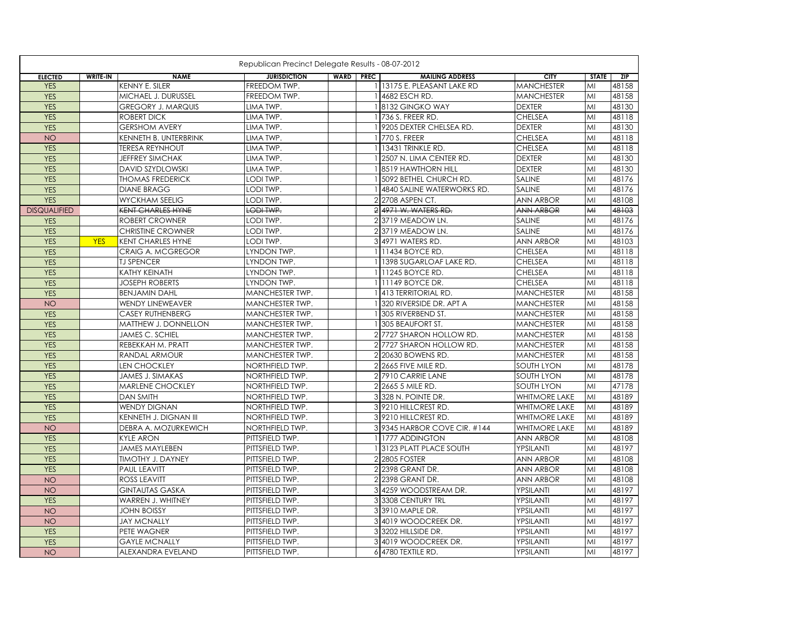|                     |                 |                           | Republican Precinct Delegate Results - 08-07-2012 |                  |                              |                      |              |       |
|---------------------|-----------------|---------------------------|---------------------------------------------------|------------------|------------------------------|----------------------|--------------|-------|
| <b>ELECTED</b>      | <b>WRITE-IN</b> | <b>NAME</b>               | <b>JURISDICTION</b>                               | <b>WARD PREC</b> | <b>MAILING ADDRESS</b>       | <b>CITY</b>          | <b>STATE</b> | ZIP   |
| <b>YES</b>          |                 | KENNY E. SILER            | FREEDOM TWP.                                      |                  | 13175 E. PLEASANT LAKE RD    | <b>MANCHESTER</b>    | MI           | 48158 |
| <b>YES</b>          |                 | MICHAEL J. DURUSSEL       | FREEDOM TWP.                                      |                  | 4682 ESCH RD.                | <b>MANCHESTER</b>    | MI           | 48158 |
| <b>YES</b>          |                 | <b>GREGORY J. MARQUIS</b> | LIMA TWP.                                         |                  | 8132 GINGKO WAY              | <b>DEXTER</b>        | MI           | 48130 |
| <b>YES</b>          |                 | <b>ROBERT DICK</b>        | LIMA TWP.                                         |                  | 736 S. FREER RD.             | <b>CHELSEA</b>       | MI           | 48118 |
| <b>YES</b>          |                 | <b>GERSHOM AVERY</b>      | LIMA TWP.                                         |                  | 9205 DEXTER CHELSEA RD.      | <b>DEXTER</b>        | MI           | 48130 |
| <b>NO</b>           |                 | KENNETH B. UNTERBRINK     | LIMA TWP.                                         |                  | 1 770 S. FREER               | <b>CHELSEA</b>       | MI           | 48118 |
| <b>YES</b>          |                 | <b>TERESA REYNHOUT</b>    | LIMA TWP.                                         |                  | 1 13431 TRINKLE RD.          | <b>CHELSEA</b>       | MI           | 48118 |
| <b>YES</b>          |                 | JEFFREY SIMCHAK           | LIMA TWP.                                         |                  | 1 2507 N. LIMA CENTER RD.    | <b>DEXTER</b>        | MI           | 48130 |
| <b>YES</b>          |                 | <b>DAVID SZYDLOWSKI</b>   | LIMA TWP.                                         |                  | 18519 HAWTHORN HILL          | <b>DEXTER</b>        | MI           | 48130 |
| <b>YES</b>          |                 | <b>THOMAS FREDERICK</b>   | LODI TWP.                                         | $\mathbf{1}$     | 5092 BETHEL CHURCH RD.       | <b>SALINE</b>        | MI           | 48176 |
| <b>YES</b>          |                 | <b>DIANE BRAGG</b>        | LODI TWP.                                         |                  | 4840 SALINE WATERWORKS RD.   | SALINE               | MI           | 48176 |
| <b>YES</b>          |                 | <b>WYCKHAM SEELIG</b>     | LODI TWP.                                         |                  | 2 2708 ASPEN CT.             | <b>ANN ARBOR</b>     | MI           | 48108 |
| <b>DISQUALIFIED</b> |                 | <b>KENT CHARLES HYNE</b>  | LODI TWP.                                         |                  | 2 4971 W. WATERS RD.         | <b>ANN ARBOR</b>     | AA           | 48103 |
| <b>YES</b>          |                 | <b>ROBERT CROWNER</b>     | LODI TWP.                                         |                  | 2 3719 MEADOW LN.            | SALINE               | MI           | 48176 |
| <b>YES</b>          |                 | <b>CHRISTINE CROWNER</b>  | LODI TWP.                                         |                  | 2 3719 MEADOW LN.            | <b>SALINE</b>        | MI           | 48176 |
| <b>YES</b>          | <b>YES</b>      | <b>KENT CHARLES HYNE</b>  | LODI TWP.                                         |                  | 3 4971 WATERS RD.            | <b>ANN ARBOR</b>     | MI           | 48103 |
| <b>YES</b>          |                 | <b>CRAIG A. MCGREGOR</b>  | LYNDON TWP.                                       |                  | 111434 BOYCE RD.             | <b>CHELSEA</b>       | MI           | 48118 |
| <b>YES</b>          |                 | <b>TJ SPENCER</b>         | LYNDON TWP.                                       |                  | 1398 SUGARLOAF LAKE RD.      | <b>CHELSEA</b>       | MI           | 48118 |
| <b>YES</b>          |                 | KATHY KEINATH             | LYNDON TWP.                                       |                  | 1 1245 BOYCE RD.             | <b>CHELSEA</b>       | MI           | 48118 |
| <b>YES</b>          |                 | <b>JOSEPH ROBERTS</b>     | LYNDON TWP.                                       |                  | 1 1149 BOYCE DR.             | <b>CHELSEA</b>       | MI           | 48118 |
| <b>YES</b>          |                 | <b>BENJAMIN DAHL</b>      | MANCHESTER TWP.                                   |                  | 1413 TERRITORIAL RD.         | <b>MANCHESTER</b>    | MI           | 48158 |
| <b>NO</b>           |                 | WENDY LINEWEAVER          | MANCHESTER TWP.                                   |                  | 1 320 RIVERSIDE DR. APT A    | <b>MANCHESTER</b>    | MI           | 48158 |
| <b>YES</b>          |                 | CASEY RUTHENBERG          | MANCHESTER TWP.                                   |                  | 1 305 RIVERBEND ST.          | <b>MANCHESTER</b>    | MI           | 48158 |
| <b>YES</b>          |                 | MATTHEW J. DONNELLON      | MANCHESTER TWP.                                   |                  | 305 BEAUFORT ST.             | <b>MANCHESTER</b>    | MI           | 48158 |
| <b>YES</b>          |                 | <b>JAMES C. SCHIEL</b>    | MANCHESTER TWP.                                   |                  | 2 7727 SHARON HOLLOW RD.     | <b>MANCHESTER</b>    | MI           | 48158 |
| <b>YES</b>          |                 | REBEKKAH M. PRATT         | MANCHESTER TWP.                                   |                  | 2 7727 SHARON HOLLOW RD      | <b>MANCHESTER</b>    | MI           | 48158 |
| <b>YES</b>          |                 | RANDAL ARMOUR             | MANCHESTER TWP.                                   |                  | 2 20630 BOWENS RD.           | <b>MANCHESTER</b>    | MI           | 48158 |
| <b>YES</b>          |                 | <b>LEN CHOCKLEY</b>       | NORTHFIELD TWP.                                   |                  | 2 2665 FIVE MILE RD.         | <b>SOUTH LYON</b>    | MI           | 48178 |
| <b>YES</b>          |                 | <b>JAMES J. SIMAKAS</b>   | NORTHFIELD TWP.                                   |                  | 2 7910 CARRIE LANE           | <b>SOUTH LYON</b>    | MI           | 48178 |
| <b>YES</b>          |                 | MARLENE CHOCKLEY          | NORTHFIELD TWP.                                   |                  | 2 2665 5 MILE RD.            | <b>SOUTH LYON</b>    | MI           | 47178 |
| <b>YES</b>          |                 | DAN SMITH                 | NORTHFIELD TWP.                                   |                  | 3 328 N. POINTE DR.          | <b>WHITMORE LAKE</b> | MI           | 48189 |
| <b>YES</b>          |                 | <b>WENDY DIGNAN</b>       | NORTHFIELD TWP.                                   |                  | 39210 HILLCREST RD.          | <b>WHITMORE LAKE</b> | MI           | 48189 |
| <b>YES</b>          |                 | KENNETH J. DIGNAN III     | NORTHFIELD TWP.                                   |                  | 39210 HILLCREST RD.          | <b>WHITMORE LAKE</b> | MI           | 48189 |
| <b>NO</b>           |                 | DEBRA A. MOZURKEWICH      | NORTHFIELD TWP.                                   |                  | 3 9345 HARBOR COVE CIR. #144 | <b>WHITMORE LAKE</b> | MI           | 48189 |
| <b>YES</b>          |                 | <b>KYLE ARON</b>          | PITTSFIELD TWP.                                   |                  | 1 1777 ADDINGTON             | <b>ANN ARBOR</b>     | MI           | 48108 |
| <b>YES</b>          |                 | <b>JAMES MAYLEBEN</b>     | PITTSFIELD TWP.                                   |                  | 13123 PLATT PLACE SOUTH      | YPSILANTI            | MI           | 48197 |
| <b>YES</b>          |                 | <b>TIMOTHY J. DAYNEY</b>  | PITTSFIELD TWP.                                   |                  | 2 2805 FOSTER                | <b>ANN ARBOR</b>     | MI           | 48108 |
| <b>YES</b>          |                 | PAUL LEAVITT              | PITTSFIELD TWP.                                   |                  | 2 2398 GRANT DR.             | <b>ANN ARBOR</b>     | MI           | 48108 |
| <b>NO</b>           |                 | <b>ROSS LEAVITT</b>       | PITTSFIELD TWP.                                   |                  | 2 2398 GRANT DR.             | <b>ANN ARBOR</b>     | MI           | 48108 |
| <b>NO</b>           |                 | <b>GINTAUTAS GASKA</b>    | PITTSFIELD TWP.                                   |                  | 3 4259 WOODSTREAM DR.        | YPSILANTI            | MI           | 48197 |
| <b>YES</b>          |                 | WARREN J. WHITNEY         | PITTSFIELD TWP.                                   |                  | 33308 CENTURY TRL            | YPSILANTI            | MI           | 48197 |
| <b>NO</b>           |                 | <b>JOHN BOISSY</b>        | PITTSFIELD TWP.                                   |                  | 3 3910 MAPLE DR.             | YPSILANTI            | MI           | 48197 |
| <b>NO</b>           |                 | <b>JAY MCNALLY</b>        | PITTSFIELD TWP.                                   |                  | 34019 WOODCREEK DR.          | YPSILANTI            | MI           | 48197 |
| <b>YES</b>          |                 | PETE WAGNER               | PITTSFIELD TWP.                                   |                  | 33202 HILLSIDE DR.           | YPSILANTI            | MI           | 48197 |
| <b>YES</b>          |                 | <b>GAYLE MCNALLY</b>      | PITTSFIELD TWP.                                   |                  | 3 4019 WOODCREEK DR.         | YPSILANTI            | MI           | 48197 |
| <b>NO</b>           |                 | ALEXANDRA EVELAND         | PITTSFIELD TWP.                                   |                  | 6 4780 TEXTILE RD.           | YPSILANTI            | MI           | 48197 |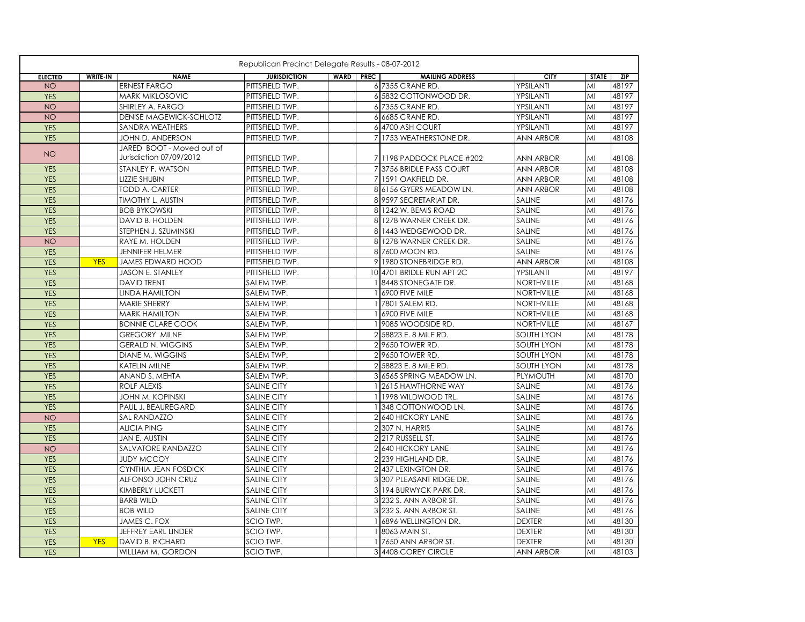|                | Republican Precinct Delegate Results - 08-07-2012 |                                                      |                     |  |                  |                           |                   |              |            |  |
|----------------|---------------------------------------------------|------------------------------------------------------|---------------------|--|------------------|---------------------------|-------------------|--------------|------------|--|
| <b>ELECTED</b> | <b>WRITE-IN</b>                                   | <b>NAME</b>                                          | <b>JURISDICTION</b> |  | <b>WARD PREC</b> | <b>MAILING ADDRESS</b>    | <b>CITY</b>       | <b>STATE</b> | <b>ZIP</b> |  |
| <b>NO</b>      |                                                   | <b>ERNEST FARGO</b>                                  | PITTSFIELD TWP.     |  |                  | 6 7355 CRANE RD.          | YPSILANTI         | MI           | 48197      |  |
| <b>YES</b>     |                                                   | <b>MARK MIKLOSOVIC</b>                               | PITTSFIELD TWP.     |  |                  | 6 5832 COTTONWOOD DR.     | YPSILANTI         | MI           | 48197      |  |
| <b>NO</b>      |                                                   | SHIRLEY A. FARGO                                     | PITTSFIELD TWP.     |  |                  | 6 7355 CRANE RD.          | YPSILANTI         | MI           | 48197      |  |
| <b>NO</b>      |                                                   | <b>DENISE MAGEWICK-SCHLOTZ</b>                       | PITTSFIELD TWP.     |  |                  | 6 6685 CRANE RD.          | YPSILANTI         | MI           | 48197      |  |
| <b>YES</b>     |                                                   | SANDRA WEATHERS                                      | PITTSFIELD TWP.     |  |                  | 6 4700 ASH COURT          | YPSILANTI         | MI           | 48197      |  |
| <b>YES</b>     |                                                   | JOHN D. ANDERSON                                     | PITTSFIELD TWP.     |  |                  | 7 1753 WEATHERSTONE DR.   | <b>ANN ARBOR</b>  | MI           | 48108      |  |
| <b>NO</b>      |                                                   | JARED BOOT - Moved out of<br>Jurisdiction 07/09/2012 | PITTSFIELD TWP.     |  |                  | 7 1198 PADDOCK PLACE #202 | ANN ARBOR         | MI           | 48108      |  |
| <b>YES</b>     |                                                   | STANLEY F. WATSON                                    | PITTSFIELD TWP.     |  |                  | 73756 BRIDLE PASS COURT   | <b>ANN ARBOR</b>  | MI           | 48108      |  |
| <b>YES</b>     |                                                   | <b>LIZZIE SHUBIN</b>                                 | PITTSFIELD TWP.     |  |                  | 7 1591 OAKFIELD DR.       | <b>ANN ARBOR</b>  | MI           | 48108      |  |
| <b>YES</b>     |                                                   | <b>TODD A. CARTER</b>                                | PITTSFIELD TWP.     |  |                  | 8 6156 GYERS MEADOW LN.   | <b>ANN ARBOR</b>  | MI           | 48108      |  |
| <b>YES</b>     |                                                   | <b>TIMOTHY L. AUSTIN</b>                             | PITTSFIELD TWP.     |  |                  | 8 9597 SECRETARIAT DR.    | <b>SALINE</b>     | MI           | 48176      |  |
| <b>YES</b>     |                                                   | <b>BOB BYKOWSKI</b>                                  | PITTSFIELD TWP.     |  |                  | 8 1242 W. BEMIS ROAD      | <b>SALINE</b>     | MI           | 48176      |  |
| <b>YES</b>     |                                                   | DAVID B. HOLDEN                                      | PITTSFIELD TWP.     |  |                  | 8 1278 WARNER CREEK DR.   | <b>SALINE</b>     | MI           | 48176      |  |
| <b>YES</b>     |                                                   | STEPHEN J. SZUMINSKI                                 | PITTSFIELD TWP.     |  |                  | 8 1443 WEDGEWOOD DR.      | <b>SALINE</b>     | MI           | 48176      |  |
| <b>NO</b>      |                                                   | <b>RAYE M. HOLDEN</b>                                | PITTSFIELD TWP.     |  |                  | 8 1278 WARNER CREEK DR.   | <b>SALINE</b>     | MI           | 48176      |  |
| <b>YES</b>     |                                                   | <b>JENNIFER HELMER</b>                               | PITTSFIELD TWP.     |  |                  | 8 7600 MOON RD.           | <b>SALINE</b>     | MI           | 48176      |  |
| <b>YES</b>     | <b>YES</b>                                        | <b>JAMES EDWARD HOOD</b>                             | PITTSFIELD TWP.     |  |                  | 9 1980 STONEBRIDGE RD.    | <b>ANN ARBOR</b>  | MI           | 48108      |  |
| <b>YES</b>     |                                                   | <b>JASON E. STANLEY</b>                              | PITTSFIELD TWP.     |  |                  | 10 4701 BRIDLE RUN APT 2C | YPSILANTI         | MI           | 48197      |  |
| <b>YES</b>     |                                                   | <b>DAVID TRENT</b>                                   | SALEM TWP.          |  |                  | 18448 STONEGATE DR.       | NORTHVILLE        | MI           | 48168      |  |
| <b>YES</b>     |                                                   | <b>LINDA HAMILTON</b>                                | SALEM TWP.          |  |                  | 1 6900 FIVE MILE          | <b>NORTHVILLE</b> | MI           | 48168      |  |
| <b>YES</b>     |                                                   | MARIE SHERRY                                         | SALEM TWP.          |  |                  | 1 7801 SALEM RD.          | NORTHVILLE        | MI           | 48168      |  |
| <b>YES</b>     |                                                   | <b>MARK HAMILTON</b>                                 | SALEM TWP.          |  |                  | 1 6900 FIVE MILE          | <b>NORTHVILLE</b> | MI           | 48168      |  |
| <b>YES</b>     |                                                   | <b>BONNIE CLARE COOK</b>                             | SALEM TWP.          |  |                  | 19085 WOODSIDE RD.        | <b>NORTHVILLE</b> | MI           | 48167      |  |
| <b>YES</b>     |                                                   | <b>GREGORY MILNE</b>                                 | SALEM TWP.          |  |                  | 2 58823 E. 8 MILE RD.     | <b>SOUTH LYON</b> | MI           | 48178      |  |
| <b>YES</b>     |                                                   | <b>GERALD N. WIGGINS</b>                             | SALEM TWP.          |  |                  | 2 9650 TOWER RD.          | <b>SOUTH LYON</b> | MI           | 48178      |  |
| <b>YES</b>     |                                                   | DIANE M. WIGGINS                                     | SALEM TWP.          |  |                  | 2 9650 TOWER RD.          | <b>SOUTH LYON</b> | MI           | 48178      |  |
| <b>YES</b>     |                                                   | <b>KATELIN MILNE</b>                                 | SALEM TWP.          |  |                  | 2 58823 E. 8 MILE RD.     | <b>SOUTH LYON</b> | MI           | 48178      |  |
| <b>YES</b>     |                                                   | ANAND S. MEHTA                                       | SALEM TWP.          |  |                  | 3 6565 SPRING MEADOW LN.  | PLYMOUTH          | MI           | 48170      |  |
| <b>YES</b>     |                                                   | ROLF ALEXIS                                          | <b>SALINE CITY</b>  |  |                  | 1 2615 HAWTHORNE WAY      | <b>SALINE</b>     | MI           | 48176      |  |
| <b>YES</b>     |                                                   | JOHN M. KOPINSKI                                     | <b>SALINE CITY</b>  |  |                  | 1 1998 WILDWOOD TRL.      | SALINE            | MI           | 48176      |  |
| <b>YES</b>     |                                                   | PAUL J. BEAUREGARD                                   | <b>SALINE CITY</b>  |  |                  | 1 348 COTTONWOOD LN.      | <b>SALINE</b>     | MI           | 48176      |  |
| <b>NO</b>      |                                                   | SAL RANDAZZO                                         | <b>SALINE CITY</b>  |  |                  | 2 640 HICKORY LANE        | SALINE            | MI           | 48176      |  |
| <b>YES</b>     |                                                   | <b>ALICIA PING</b>                                   | <b>SALINE CITY</b>  |  |                  | 2307 N. HARRIS            | <b>SALINE</b>     | MI           | 48176      |  |
| <b>YES</b>     |                                                   | JAN E. AUSTIN                                        | <b>SALINE CITY</b>  |  |                  | 2217 RUSSELL ST.          | <b>SALINE</b>     | MI           | 48176      |  |
| <b>NO</b>      |                                                   | SALVATORE RANDAZZO                                   | <b>SALINE CITY</b>  |  |                  | 2 640 HICKORY LANE        | <b>SALINE</b>     | MI           | 48176      |  |
| <b>YES</b>     |                                                   | <b>JUDY MCCOY</b>                                    | SALINE CITY         |  |                  | 2 239 HIGHLAND DR.        | <b>SALINE</b>     | MI           | 48176      |  |
| <b>YES</b>     |                                                   | CYNTHIA JEAN FOSDICK                                 | <b>SALINE CITY</b>  |  |                  | 2 437 LEXINGTON DR.       | <b>SALINE</b>     | MI           | 48176      |  |
| <b>YES</b>     |                                                   | ALFONSO JOHN CRUZ                                    | <b>SALINE CITY</b>  |  |                  | 3 307 PLEASANT RIDGE DR.  | <b>SALINE</b>     | MI           | 48176      |  |
| <b>YES</b>     |                                                   | <b>KIMBERLY LUCKETT</b>                              | SALINE CITY         |  |                  | 3 194 BURWYCK PARK DR.    | <b>SALINE</b>     | MI           | 48176      |  |
| <b>YES</b>     |                                                   | <b>BARB WILD</b>                                     | <b>SALINE CITY</b>  |  |                  | 31232 S. ANN ARBOR ST.    | <b>SALINE</b>     | MI           | 48176      |  |
| <b>YES</b>     |                                                   | <b>BOB WILD</b>                                      | <b>SALINE CITY</b>  |  |                  | 3 232 S. ANN ARBOR ST.    | <b>SALINE</b>     | MI           | 48176      |  |
| <b>YES</b>     |                                                   | JAMES C. FOX                                         | SCIO TWP.           |  |                  | 1 6896 WELLINGTON DR.     | <b>DEXTER</b>     | MI           | 48130      |  |
| <b>YES</b>     |                                                   | JEFFREY EARL LINDER                                  | SCIO TWP.           |  |                  | 1 8063 MAIN ST.           | <b>DEXTER</b>     | MI           | 48130      |  |
| <b>YES</b>     | <b>YES</b>                                        | DAVID B. RICHARD                                     | SCIO TWP.           |  |                  | 1 7650 ANN ARBOR ST.      | <b>DEXTER</b>     | MI           | 48130      |  |
| <b>YES</b>     |                                                   | WILLIAM M. GORDON                                    | SCIO TWP.           |  |                  | 3 4408 COREY CIRCLE       | <b>ANN ARBOR</b>  | MI           | 48103      |  |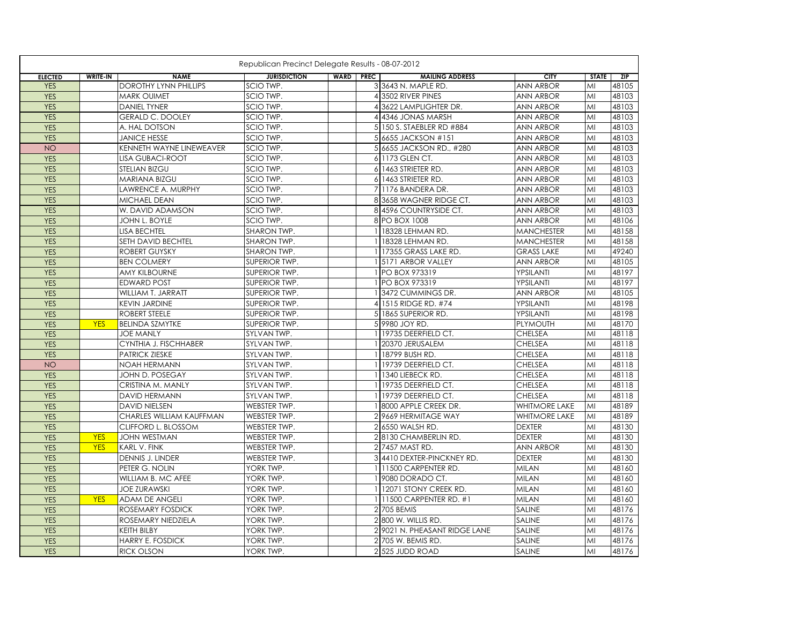|                |                 |                              | Republican Precinct Delegate Results - 08-07-2012 |                  |                               |                      |              |       |
|----------------|-----------------|------------------------------|---------------------------------------------------|------------------|-------------------------------|----------------------|--------------|-------|
| <b>ELECTED</b> | <b>WRITE-IN</b> | <b>NAME</b>                  | <b>JURISDICTION</b>                               | <b>WARD PREC</b> | <b>MAILING ADDRESS</b>        | <b>CITY</b>          | <b>STATE</b> | ZIP   |
| <b>YES</b>     |                 | <b>DOROTHY LYNN PHILLIPS</b> | SCIO TWP.                                         |                  | 3 3643 N. MAPLE RD.           | <b>ANN ARBOR</b>     | MI           | 48105 |
| <b>YES</b>     |                 | <b>MARK OUIMET</b>           | SCIO TWP.                                         |                  | 4 3502 RIVER PINES            | <b>ANN ARBOR</b>     | MI           | 48103 |
| <b>YES</b>     |                 | <b>DANIEL TYNER</b>          | SCIO TWP.                                         |                  | 4 3622 LAMPLIGHTER DR.        | ANN ARBOR            | MI           | 48103 |
| <b>YES</b>     |                 | <b>GERALD C. DOOLEY</b>      | SCIO TWP.                                         |                  | 4 4346 JONAS MARSH            | ANN ARBOR            | MI           | 48103 |
| <b>YES</b>     |                 | A. HAL DOTSON                | SCIO TWP.                                         |                  | 5 150 S. STAEBLER RD #884     | <b>ANN ARBOR</b>     | MI           | 48103 |
| <b>YES</b>     |                 | <b>JANICE HESSE</b>          | SCIO TWP.                                         |                  | 5 6655 JACKSON #151           | <b>ANN ARBOR</b>     | MI           | 48103 |
| <b>NO</b>      |                 | KENNETH WAYNE LINEWEAVER     | SCIO TWP.                                         |                  | 5 6655 JACKSON RD., #280      | <b>ANN ARBOR</b>     | MI           | 48103 |
| <b>YES</b>     |                 | <b>LISA GUBACI-ROOT</b>      | SCIO TWP.                                         |                  | 6 1173 GLEN CT.               | <b>ANN ARBOR</b>     | MI           | 48103 |
| <b>YES</b>     |                 | <b>STELIAN BIZGU</b>         | SCIO TWP.                                         |                  | 6 1463 STRIETER RD.           | <b>ANN ARBOR</b>     | MI           | 48103 |
| <b>YES</b>     |                 | MARIANA BIZGU                | SCIO TWP.                                         |                  | 6 1463 STRIETER RD.           | <b>ANN ARBOR</b>     | MI           | 48103 |
| <b>YES</b>     |                 | <b>LAWRENCE A. MURPHY</b>    | SCIO TWP.                                         |                  | 7 1176 BANDERA DR.            | <b>ANN ARBOR</b>     | MI           | 48103 |
| <b>YES</b>     |                 | MICHAEL DEAN                 | SCIO TWP.                                         |                  | 83658 WAGNER RIDGE CT.        | <b>ANN ARBOR</b>     | MI           | 48103 |
| <b>YES</b>     |                 | W. DAVID ADAMSON             | SCIO TWP.                                         |                  | 8 4596 COUNTRYSIDE CT.        | <b>ANN ARBOR</b>     | MI           | 48103 |
| <b>YES</b>     |                 | JOHN L. BOYLE                | SCIO TWP.                                         |                  | 8 PO BOX 1008                 | <b>ANN ARBOR</b>     | MI           | 48106 |
| <b>YES</b>     |                 | <b>LISA BECHTEL</b>          | SHARON TWP.                                       |                  | 18328 LEHMAN RD.              | <b>MANCHESTER</b>    | MI           | 48158 |
| <b>YES</b>     |                 | SETH DAVID BECHTEL           | SHARON TWP.                                       |                  | 18328 LEHMAN RD.              | <b>MANCHESTER</b>    | MI           | 48158 |
| <b>YES</b>     |                 | <b>ROBERT GUYSKY</b>         | SHARON TWP.                                       |                  | 17355 GRASS LAKE RD.          | <b>GRASS LAKE</b>    | MI           | 49240 |
| <b>YES</b>     |                 | <b>BEN COLMERY</b>           | SUPERIOR TWP.                                     |                  | 1 5171 ARBOR VALLEY           | <b>ANN ARBOR</b>     | MI           | 48105 |
| <b>YES</b>     |                 | <b>AMY KILBOURNE</b>         | SUPERIOR TWP.                                     |                  | 1 PO BOX 973319               | YPSILANTI            | MI           | 48197 |
| <b>YES</b>     |                 | <b>EDWARD POST</b>           | SUPERIOR TWP.                                     |                  | 1 PO BOX 973319               | YPSILANTI            | MI           | 48197 |
| <b>YES</b>     |                 | WILLIAM T. JARRATT           | SUPERIOR TWP.                                     |                  | 13472 CUMMINGS DR.            | <b>ANN ARBOR</b>     | MI           | 48105 |
| <b>YES</b>     |                 | <b>KEVIN JARDINE</b>         | SUPERIOR TWP.                                     | 4                | 1515 RIDGE RD. #74            | YPSILANTI            | MI           | 48198 |
| <b>YES</b>     |                 | <b>ROBERT STEELE</b>         | <b>SUPERIOR TWP.</b>                              |                  | 5 1865 SUPERIOR RD.           | YPSILANTI            | MI           | 48198 |
| <b>YES</b>     | <b>YES</b>      | <b>BELINDA SZMYTKE</b>       | SUPERIOR TWP.                                     |                  | 5 9980 JOY RD.                | <b>PLYMOUTH</b>      | MI           | 48170 |
| <b>YES</b>     |                 | <b>JOE MANLY</b>             | SYLVAN TWP.                                       |                  | 19735 DEERFIELD CT.           | <b>CHELSEA</b>       | MI           | 48118 |
| <b>YES</b>     |                 | CYNTHIA J. FISCHHABER        | SYLVAN TWP.                                       |                  | 20370 JERUSALEM               | <b>CHELSEA</b>       | MI           | 48118 |
| <b>YES</b>     |                 | <b>PATRICK ZIESKE</b>        | SYLVAN TWP.                                       |                  | 18799 BUSH RD.                | <b>CHELSEA</b>       | MI           | 48118 |
| <b>NO</b>      |                 | NOAH HERMANN                 | SYLVAN TWP.                                       |                  | 19739 DEERFIELD CT.           | <b>CHELSEA</b>       | MI           | 48118 |
| <b>YES</b>     |                 | JOHN D. POSEGAY              | SYLVAN TWP.                                       |                  | 1340 LIEBECK RD.              | <b>CHELSEA</b>       | MI           | 48118 |
| <b>YES</b>     |                 | CRISTINA M. MANLY            | SYLVAN TWP.                                       |                  | 19735 DEERFIELD CT.           | <b>CHELSEA</b>       | MI           | 48118 |
| <b>YES</b>     |                 | DAVID HERMANN                | SYLVAN TWP.                                       |                  | 19739 DEERFIELD CT.           | <b>CHELSEA</b>       | MI           | 48118 |
| <b>YES</b>     |                 | <b>DAVID NIELSEN</b>         | WEBSTER TWP.                                      |                  | 8000 APPLE CREEK DR.          | <b>WHITMORE LAKE</b> | MI           | 48189 |
| <b>YES</b>     |                 | CHARLES WILLIAM KAUFFMAN     | WEBSTER TWP.                                      |                  | 2 9669 HERMITAGE WAY          | <b>WHITMORE LAKE</b> | MI           | 48189 |
| <b>YES</b>     |                 | CLIFFORD L. BLOSSOM          | WEBSTER TWP.                                      | $\overline{2}$   | 6550 WALSH RD.                | <b>DEXTER</b>        | MI           | 48130 |
| <b>YES</b>     | <b>YES</b>      | <b>JOHN WESTMAN</b>          | WEBSTER TWP.                                      |                  | 28130 CHAMBERLIN RD.          | <b>DEXTER</b>        | MI           | 48130 |
| <b>YES</b>     | <b>YES</b>      | KARL V. FINK                 | WEBSTER TWP.                                      |                  | 2 7457 MAST RD.               | <b>ANN ARBOR</b>     | MI           | 48130 |
| <b>YES</b>     |                 | DENNIS J. LINDER             | WEBSTER TWP.                                      |                  | 34410 DEXTER-PINCKNEY RD.     | <b>DEXTER</b>        | MI           | 48130 |
| <b>YES</b>     |                 | PETER G. NOLIN               | YORK TWP.                                         |                  | 11500 CARPENTER RD.           | <b>MILAN</b>         | MI           | 48160 |
| <b>YES</b>     |                 | WILLIAM B. MC AFEE           | YORK TWP.                                         |                  | 9080 DORADO CT.               | <b>MILAN</b>         | MI           | 48160 |
| <b>YES</b>     |                 | <b>JOE ZURAWSKI</b>          | YORK TWP.                                         |                  | 12071 STONY CREEK RD.         | <b>MILAN</b>         | MI           | 48160 |
| <b>YES</b>     | <b>YES</b>      | ADAM DE ANGELI               | YORK TWP.                                         |                  | 1 11500 CARPENTER RD. #1      | <b>MILAN</b>         | MI           | 48160 |
| <b>YES</b>     |                 | ROSEMARY FOSDICK             | YORK TWP.                                         |                  | 2 705 BEMIS                   | SALINE               | MI           | 48176 |
| <b>YES</b>     |                 | ROSEMARY NIEDZIELA           | YORK TWP.                                         |                  | 2 800 W. WILLIS RD.           | SALINE               | MI           | 48176 |
| <b>YES</b>     |                 | KEITH BILBY                  | YORK TWP.                                         |                  | 2 9021 N. PHEASANT RIDGE LANE | SALINE               | MI           | 48176 |
| <b>YES</b>     |                 | HARRY E. FOSDICK             | YORK TWP.                                         | $\overline{2}$   | 705 W. BEMIS RD.              | SALINE               | MI           | 48176 |
| <b>YES</b>     |                 | <b>RICK OLSON</b>            | YORK TWP.                                         |                  | 2 525 JUDD ROAD               | <b>SALINE</b>        | MI           | 48176 |